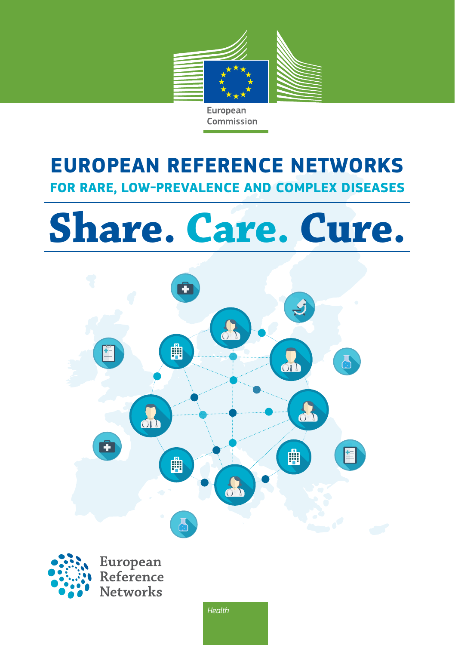

European Commission

## **EUROPEAN REFERENCE NETWORKS FOR RARE, LOW-PREVALENCE AND COMPLEX DISEASES**

# **Share. Care. Cure.**

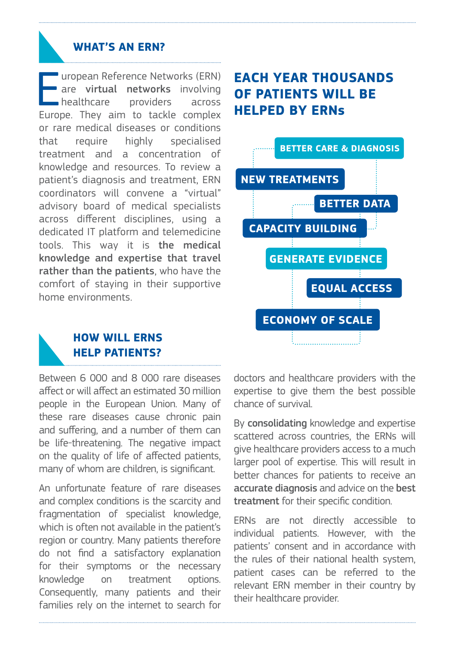#### **WHAT'S AN ERN?**

Impropean Reference Networks (ERN)<br>
are **virtual networks** involving<br>
healthcare providers across<br>
Europe. They aim to tackle complex uropean Reference Networks (ERN) are virtual networks involving healthcare providers across or rare medical diseases or conditions that require highly specialised treatment and a concentration of knowledge and resources. To review a patient's diagnosis and treatment, ERN coordinators will convene a "virtual" advisory board of medical specialists across different disciplines, using a dedicated IT platform and telemedicine tools. This way it is the medical knowledge and expertise that travel rather than the patients, who have the comfort of staying in their supportive home environments.

## **EACH YEAR THOUSANDS OF PATIENTS WILL BE HELPED BY ERNs**



#### **HOW WILL ERNS HELP PATIENTS?**

Between 6 000 and 8 000 rare diseases affect or will affect an estimated 30 million people in the European Union. Many of these rare diseases cause chronic pain and suffering, and a number of them can be life-threatening. The negative impact on the quality of life of affected patients, many of whom are children, is significant.

An unfortunate feature of rare diseases and complex conditions is the scarcity and fragmentation of specialist knowledge, which is often not available in the patient's region or country. Many patients therefore do not find a satisfactory explanation for their symptoms or the necessary knowledge on treatment options Consequently, many patients and their families rely on the internet to search for

doctors and healthcare providers with the expertise to give them the best possible chance of survival.

By consolidating knowledge and expertise scattered across countries, the ERNs will give healthcare providers access to a much larger pool of expertise. This will result in better chances for patients to receive an accurate diagnosis and advice on the best treatment for their specific condition.

ERNs are not directly accessible to individual patients. However, with the patients' consent and in accordance with the rules of their national health system, patient cases can be referred to the relevant ERN member in their country by their healthcare provider.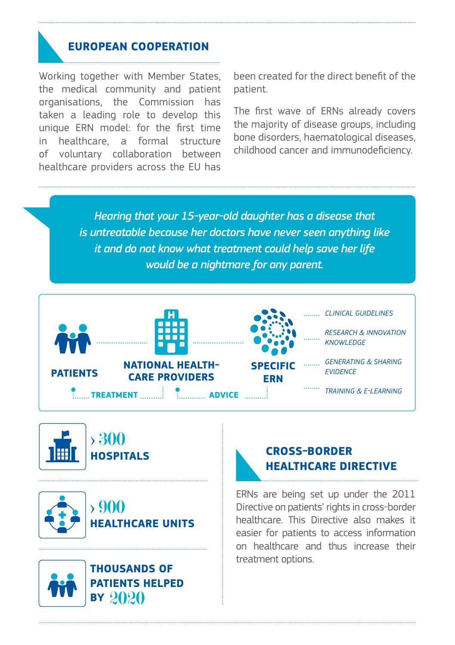#### **EUROPEAN COOPERATION**

Working together with Member States, the medical community and patient organisations, the Commission has taken a leading role to develop this unique ERN model: for the first time in healthcare, a formal structure of voluntary collaboration between healthcare providers across the EU has

been created for the direct benefit of the patient.

The first wave of ERNs already covers the majority of disease groups, including bone disorders, haematological diseases, childhood cancer and immunodeficiency.

*Hearing that your 15-year-old daughter has a disease that is untreatable because her doctors have never seen anything like it and do not know what treatment could help save her life would be a nightmare for any parent.*



> 300 **HOSPITALS**



> 900 **HEALTHCARE UNITS**



**THOUSANDS OF PATIENTS HELPED BY** 2020

### **CROSS-BORDER HEALTHCARE DIRECTIVE**

ERNs are being set up under the 2011 Directive on patients' rights in cross-border healthcare. This Directive also makes it easier for patients to access information on healthcare and thus increase their treatment options.